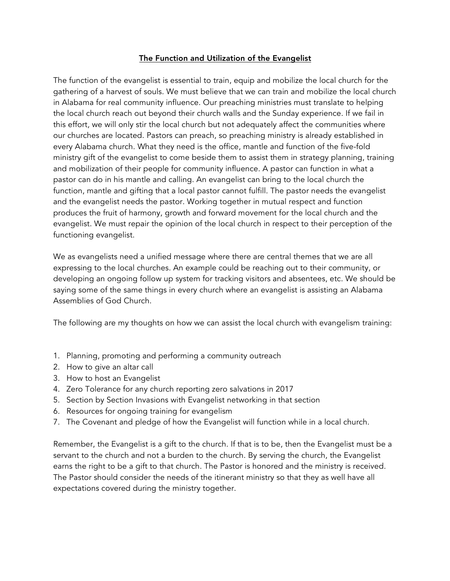# The Function and Utilization of the Evangelist

The function of the evangelist is essential to train, equip and mobilize the local church for the gathering of a harvest of souls. We must believe that we can train and mobilize the local church in Alabama for real community influence. Our preaching ministries must translate to helping the local church reach out beyond their church walls and the Sunday experience. If we fail in this effort, we will only stir the local church but not adequately affect the communities where our churches are located. Pastors can preach, so preaching ministry is already established in every Alabama church. What they need is the office, mantle and function of the five-fold ministry gift of the evangelist to come beside them to assist them in strategy planning, training and mobilization of their people for community influence. A pastor can function in what a pastor can do in his mantle and calling. An evangelist can bring to the local church the function, mantle and gifting that a local pastor cannot fulfill. The pastor needs the evangelist and the evangelist needs the pastor. Working together in mutual respect and function produces the fruit of harmony, growth and forward movement for the local church and the evangelist. We must repair the opinion of the local church in respect to their perception of the functioning evangelist.

We as evangelists need a unified message where there are central themes that we are all expressing to the local churches. An example could be reaching out to their community, or developing an ongoing follow up system for tracking visitors and absentees, etc. We should be saying some of the same things in every church where an evangelist is assisting an Alabama Assemblies of God Church.

The following are my thoughts on how we can assist the local church with evangelism training:

- 1. Planning, promoting and performing a community outreach
- 2. How to give an altar call
- 3. How to host an Evangelist
- 4. Zero Tolerance for any church reporting zero salvations in 2017
- 5. Section by Section Invasions with Evangelist networking in that section
- 6. Resources for ongoing training for evangelism
- 7. The Covenant and pledge of how the Evangelist will function while in a local church.

Remember, the Evangelist is a gift to the church. If that is to be, then the Evangelist must be a servant to the church and not a burden to the church. By serving the church, the Evangelist earns the right to be a gift to that church. The Pastor is honored and the ministry is received. The Pastor should consider the needs of the itinerant ministry so that they as well have all expectations covered during the ministry together.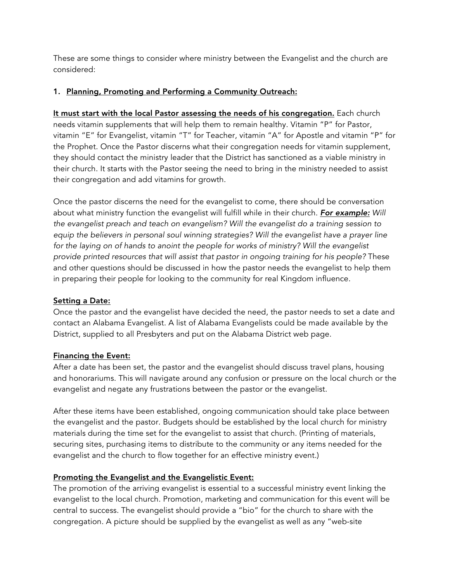These are some things to consider where ministry between the Evangelist and the church are considered:

# 1. Planning, Promoting and Performing a Community Outreach:

It must start with the local Pastor assessing the needs of his congregation. Each church needs vitamin supplements that will help them to remain healthy. Vitamin "P" for Pastor, vitamin "E" for Evangelist, vitamin "T" for Teacher, vitamin "A" for Apostle and vitamin "P" for the Prophet. Once the Pastor discerns what their congregation needs for vitamin supplement, they should contact the ministry leader that the District has sanctioned as a viable ministry in their church. It starts with the Pastor seeing the need to bring in the ministry needed to assist their congregation and add vitamins for growth.

Once the pastor discerns the need for the evangelist to come, there should be conversation about what ministry function the evangelist will fulfill while in their church. *For example: Will the evangelist preach and teach on evangelism? Will the evangelist do a training session to equip the believers in personal soul winning strategies? Will the evangelist have a prayer line for the laying on of hands to anoint the people for works of ministry? Will the evangelist provide printed resources that will assist that pastor in ongoing training for his people?* These and other questions should be discussed in how the pastor needs the evangelist to help them in preparing their people for looking to the community for real Kingdom influence.

# Setting a Date:

Once the pastor and the evangelist have decided the need, the pastor needs to set a date and contact an Alabama Evangelist. A list of Alabama Evangelists could be made available by the District, supplied to all Presbyters and put on the Alabama District web page.

# Financing the Event:

After a date has been set, the pastor and the evangelist should discuss travel plans, housing and honorariums. This will navigate around any confusion or pressure on the local church or the evangelist and negate any frustrations between the pastor or the evangelist.

After these items have been established, ongoing communication should take place between the evangelist and the pastor. Budgets should be established by the local church for ministry materials during the time set for the evangelist to assist that church. (Printing of materials, securing sites, purchasing items to distribute to the community or any items needed for the evangelist and the church to flow together for an effective ministry event.)

# Promoting the Evangelist and the Evangelistic Event:

The promotion of the arriving evangelist is essential to a successful ministry event linking the evangelist to the local church. Promotion, marketing and communication for this event will be central to success. The evangelist should provide a "bio" for the church to share with the congregation. A picture should be supplied by the evangelist as well as any "web-site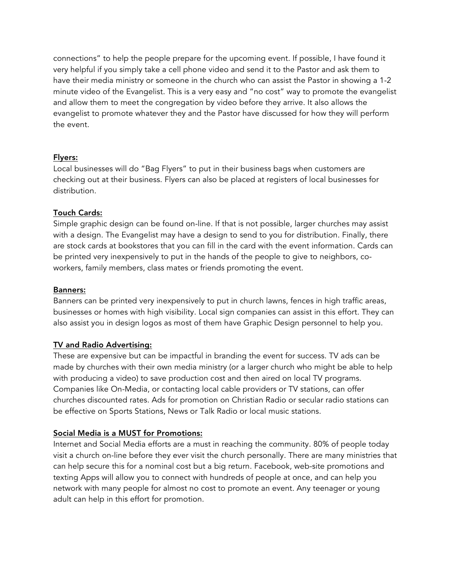connections" to help the people prepare for the upcoming event. If possible, I have found it very helpful if you simply take a cell phone video and send it to the Pastor and ask them to have their media ministry or someone in the church who can assist the Pastor in showing a 1-2 minute video of the Evangelist. This is a very easy and "no cost" way to promote the evangelist and allow them to meet the congregation by video before they arrive. It also allows the evangelist to promote whatever they and the Pastor have discussed for how they will perform the event.

## Flyers:

Local businesses will do "Bag Flyers" to put in their business bags when customers are checking out at their business. Flyers can also be placed at registers of local businesses for distribution.

## Touch Cards:

Simple graphic design can be found on-line. If that is not possible, larger churches may assist with a design. The Evangelist may have a design to send to you for distribution. Finally, there are stock cards at bookstores that you can fill in the card with the event information. Cards can be printed very inexpensively to put in the hands of the people to give to neighbors, coworkers, family members, class mates or friends promoting the event.

### Banners:

Banners can be printed very inexpensively to put in church lawns, fences in high traffic areas, businesses or homes with high visibility. Local sign companies can assist in this effort. They can also assist you in design logos as most of them have Graphic Design personnel to help you.

# TV and Radio Advertising:

These are expensive but can be impactful in branding the event for success. TV ads can be made by churches with their own media ministry (or a larger church who might be able to help with producing a video) to save production cost and then aired on local TV programs. Companies like On-Media, or contacting local cable providers or TV stations, can offer churches discounted rates. Ads for promotion on Christian Radio or secular radio stations can be effective on Sports Stations, News or Talk Radio or local music stations.

### Social Media is a MUST for Promotions:

Internet and Social Media efforts are a must in reaching the community. 80% of people today visit a church on-line before they ever visit the church personally. There are many ministries that can help secure this for a nominal cost but a big return. Facebook, web-site promotions and texting Apps will allow you to connect with hundreds of people at once, and can help you network with many people for almost no cost to promote an event. Any teenager or young adult can help in this effort for promotion.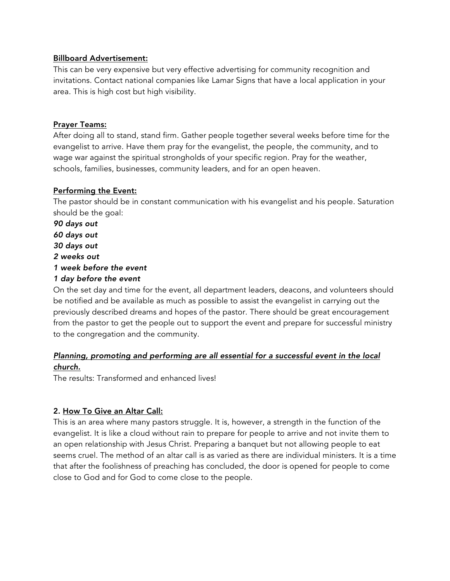## Billboard Advertisement:

This can be very expensive but very effective advertising for community recognition and invitations. Contact national companies like Lamar Signs that have a local application in your area. This is high cost but high visibility.

## Prayer Teams:

After doing all to stand, stand firm. Gather people together several weeks before time for the evangelist to arrive. Have them pray for the evangelist, the people, the community, and to wage war against the spiritual strongholds of your specific region. Pray for the weather, schools, families, businesses, community leaders, and for an open heaven.

## Performing the Event:

The pastor should be in constant communication with his evangelist and his people. Saturation should be the goal:

*90 days out 60 days out 30 days out 2 weeks out 1 week before the event 1 day before the event*

On the set day and time for the event, all department leaders, deacons, and volunteers should be notified and be available as much as possible to assist the evangelist in carrying out the previously described dreams and hopes of the pastor. There should be great encouragement from the pastor to get the people out to support the event and prepare for successful ministry to the congregation and the community.

# *Planning, promoting and performing are all essential for a successful event in the local church.*

The results: Transformed and enhanced lives!

# 2. How To Give an Altar Call:

This is an area where many pastors struggle. It is, however, a strength in the function of the evangelist. It is like a cloud without rain to prepare for people to arrive and not invite them to an open relationship with Jesus Christ. Preparing a banquet but not allowing people to eat seems cruel. The method of an altar call is as varied as there are individual ministers. It is a time that after the foolishness of preaching has concluded, the door is opened for people to come close to God and for God to come close to the people.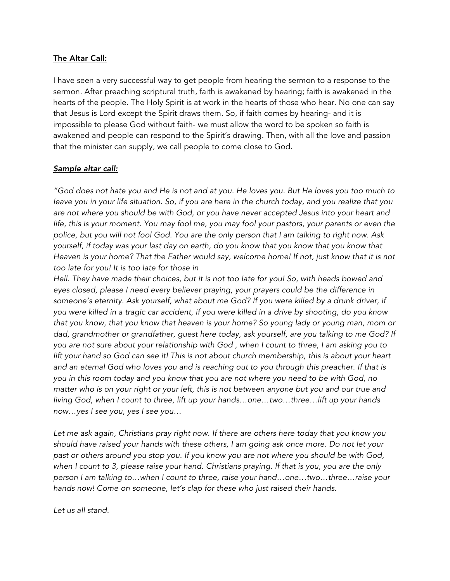## The Altar Call:

I have seen a very successful way to get people from hearing the sermon to a response to the sermon. After preaching scriptural truth, faith is awakened by hearing; faith is awakened in the hearts of the people. The Holy Spirit is at work in the hearts of those who hear. No one can say that Jesus is Lord except the Spirit draws them. So, if faith comes by hearing- and it is impossible to please God without faith- we must allow the word to be spoken so faith is awakened and people can respond to the Spirit's drawing. Then, with all the love and passion that the minister can supply, we call people to come close to God.

## *Sample altar call:*

"God does not hate you and He is not and at you. He loves you. But He loves you too much to leave you in your life situation. So, if you are here in the church today, and you realize that you *are not where you should be with God, or you have never accepted Jesus into your heart and* life, this is your moment. You may fool me, you may fool your pastors, your parents or even the police, but you will not fool God. You are the only person that I am talking to right now. Ask *yourself, if today was your last day on earth, do you know that you know that you know that* Heaven is your home? That the Father would say, welcome home! If not, just know that it is not *too late for you! It is too late for those in*

Hell. They have made their choices, but it is not too late for you! So, with heads bowed and *eyes closed, please I need every believer praying, your prayers could be the difference in someone's eternity. Ask yourself, what about me God? If you were killed by a drunk driver, if* you were killed in a tragic car accident, if you were killed in a drive by shooting, do you know *that you know, that you know that heaven is your home? So young lady or young man, mom or dad, grandmother or grandfather, guest here today, ask yourself, are you talking to me God? If* you are not sure about your relationship with God, when I count to three, I am asking you to lift your hand so God can see it! This is not about church membership, this is about your heart and an eternal God who loves you and is reaching out to you through this preacher. If that is you in this room today and you know that you are not where you need to be with God, no matter who is on your right or your left, this is not between anyone but you and our true and *living God, when I count to three, lift up your hands…one…two…three…lift up your hands now…yes I see you, yes I see you…*

*Let me ask again, Christians pray right now. If there are others here today that you know you should have raised your hands with these others, I am going ask once more. Do not let your past or others around you stop you. If you know you are not where you should be with God,* when I count to 3, please raise your hand. Christians praying. If that is you, you are the only *person I am talking to…when I count to three, raise your hand…one…two…three…raise your hands now! Come on someone, let's clap for these who just raised their hands.*

*Let us all stand.*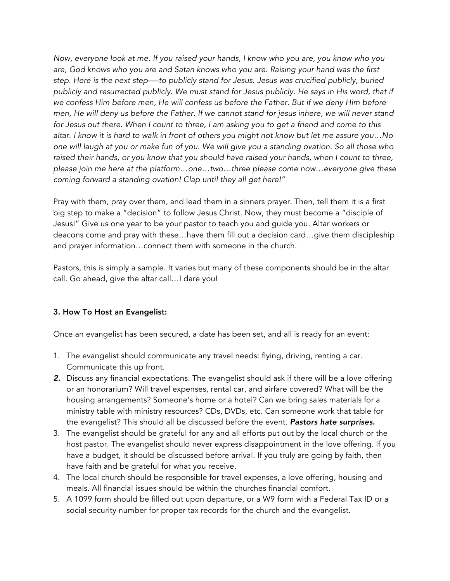*Now, everyone look at me. If you raised your hands, I know who you are, you know who you are, God knows who you are and Satan knows who you are. Raising your hand was the first step. Here is the next step—-to publicly stand for Jesus. Jesus was crucified publicly, buried publicly and resurrected publicly. We must stand for Jesus publicly. He says in His word, that if we confess Him before men, He will confess us before the Father. But if we deny Him before* men, He will deny us before the Father. If we cannot stand for jesus inhere, we will never stand for Jesus out there. When I count to three, I am asking you to get a friend and come to this altar. I know it is hard to walk in front of others you might not know but let me assure you...No one will laugh at you or make fun of you. We will give you a standing ovation. So all those who *raised their hands, or you know that you should have raised your hands, when I count to three, please join me here at the platform…one…two…three please come now…everyone give these coming forward a standing ovation! Clap until they all get here!"*

Pray with them, pray over them, and lead them in a sinners prayer. Then, tell them it is a first big step to make a "decision" to follow Jesus Christ. Now, they must become a "disciple of Jesus!" Give us one year to be your pastor to teach you and guide you. Altar workers or deacons come and pray with these…have them fill out a decision card…give them discipleship and prayer information…connect them with someone in the church.

Pastors, this is simply a sample. It varies but many of these components should be in the altar call. Go ahead, give the altar call…I dare you!

# 3. How To Host an Evangelist:

Once an evangelist has been secured, a date has been set, and all is ready for an event:

- 1. The evangelist should communicate any travel needs: flying, driving, renting a car. Communicate this up front.
- *2.* Discuss any financial expectations. The evangelist should ask if there will be a love offering or an honorarium? Will travel expenses, rental car, and airfare covered? What will be the housing arrangements? Someone's home or a hotel? Can we bring sales materials for a ministry table with ministry resources? CDs, DVDs, etc. Can someone work that table for the evangelist? This should all be discussed before the event. *Pastors hate surprises.*
- 3. The evangelist should be grateful for any and all efforts put out by the local church or the host pastor. The evangelist should never express disappointment in the love offering. If you have a budget, it should be discussed before arrival. If you truly are going by faith, then have faith and be grateful for what you receive.
- 4. The local church should be responsible for travel expenses, a love offering, housing and meals. All financial issues should be within the churches financial comfort.
- 5. A 1099 form should be filled out upon departure, or a W9 form with a Federal Tax ID or a social security number for proper tax records for the church and the evangelist.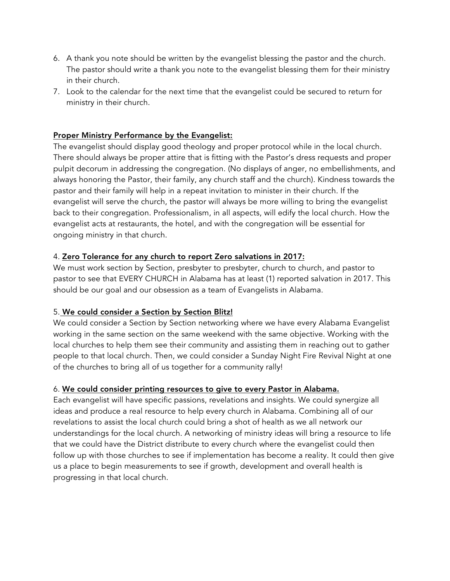- 6. A thank you note should be written by the evangelist blessing the pastor and the church. The pastor should write a thank you note to the evangelist blessing them for their ministry in their church.
- 7. Look to the calendar for the next time that the evangelist could be secured to return for ministry in their church.

## Proper Ministry Performance by the Evangelist:

The evangelist should display good theology and proper protocol while in the local church. There should always be proper attire that is fitting with the Pastor's dress requests and proper pulpit decorum in addressing the congregation. (No displays of anger, no embellishments, and always honoring the Pastor, their family, any church staff and the church). Kindness towards the pastor and their family will help in a repeat invitation to minister in their church. If the evangelist will serve the church, the pastor will always be more willing to bring the evangelist back to their congregation. Professionalism, in all aspects, will edify the local church. How the evangelist acts at restaurants, the hotel, and with the congregation will be essential for ongoing ministry in that church.

### 4. Zero Tolerance for any church to report Zero salvations in 2017:

We must work section by Section, presbyter to presbyter, church to church, and pastor to pastor to see that EVERY CHURCH in Alabama has at least (1) reported salvation in 2017. This should be our goal and our obsession as a team of Evangelists in Alabama.

### 5. We could consider a Section by Section Blitz!

We could consider a Section by Section networking where we have every Alabama Evangelist working in the same section on the same weekend with the same objective. Working with the local churches to help them see their community and assisting them in reaching out to gather people to that local church. Then, we could consider a Sunday Night Fire Revival Night at one of the churches to bring all of us together for a community rally!

### 6. We could consider printing resources to give to every Pastor in Alabama.

Each evangelist will have specific passions, revelations and insights. We could synergize all ideas and produce a real resource to help every church in Alabama. Combining all of our revelations to assist the local church could bring a shot of health as we all network our understandings for the local church. A networking of ministry ideas will bring a resource to life that we could have the District distribute to every church where the evangelist could then follow up with those churches to see if implementation has become a reality. It could then give us a place to begin measurements to see if growth, development and overall health is progressing in that local church.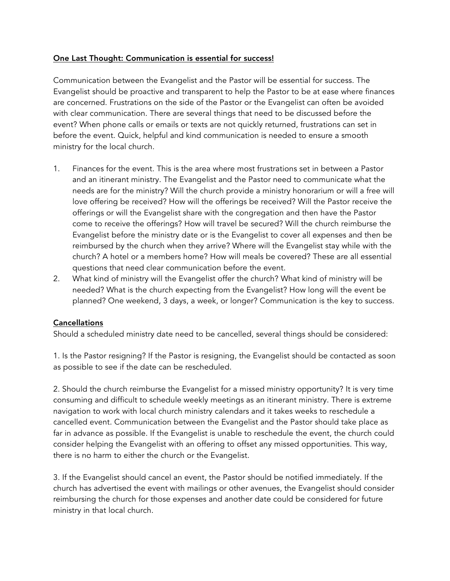## One Last Thought: Communication is essential for success!

Communication between the Evangelist and the Pastor will be essential for success. The Evangelist should be proactive and transparent to help the Pastor to be at ease where finances are concerned. Frustrations on the side of the Pastor or the Evangelist can often be avoided with clear communication. There are several things that need to be discussed before the event? When phone calls or emails or texts are not quickly returned, frustrations can set in before the event. Quick, helpful and kind communication is needed to ensure a smooth ministry for the local church.

- 1. Finances for the event. This is the area where most frustrations set in between a Pastor and an itinerant ministry. The Evangelist and the Pastor need to communicate what the needs are for the ministry? Will the church provide a ministry honorarium or will a free will love offering be received? How will the offerings be received? Will the Pastor receive the offerings or will the Evangelist share with the congregation and then have the Pastor come to receive the offerings? How will travel be secured? Will the church reimburse the Evangelist before the ministry date or is the Evangelist to cover all expenses and then be reimbursed by the church when they arrive? Where will the Evangelist stay while with the church? A hotel or a members home? How will meals be covered? These are all essential questions that need clear communication before the event.
- 2. What kind of ministry will the Evangelist offer the church? What kind of ministry will be needed? What is the church expecting from the Evangelist? How long will the event be planned? One weekend, 3 days, a week, or longer? Communication is the key to success.

### Cancellations

Should a scheduled ministry date need to be cancelled, several things should be considered:

1. Is the Pastor resigning? If the Pastor is resigning, the Evangelist should be contacted as soon as possible to see if the date can be rescheduled.

2. Should the church reimburse the Evangelist for a missed ministry opportunity? It is very time consuming and difficult to schedule weekly meetings as an itinerant ministry. There is extreme navigation to work with local church ministry calendars and it takes weeks to reschedule a cancelled event. Communication between the Evangelist and the Pastor should take place as far in advance as possible. If the Evangelist is unable to reschedule the event, the church could consider helping the Evangelist with an offering to offset any missed opportunities. This way, there is no harm to either the church or the Evangelist.

3. If the Evangelist should cancel an event, the Pastor should be notified immediately. If the church has advertised the event with mailings or other avenues, the Evangelist should consider reimbursing the church for those expenses and another date could be considered for future ministry in that local church.